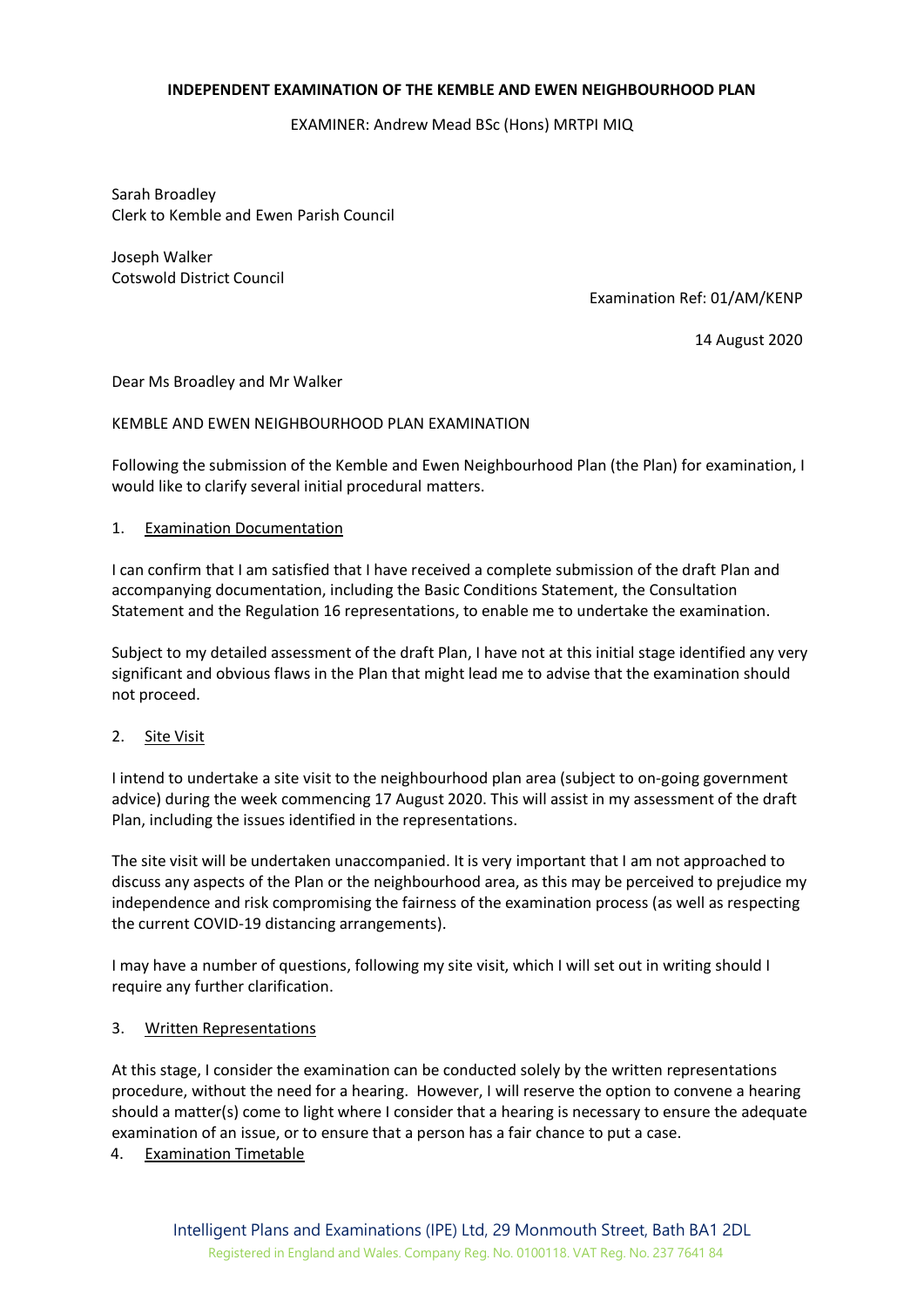## **INDEPENDENT EXAMINATION OF THE KEMBLE AND EWEN NEIGHBOURHOOD PLAN**

EXAMINER: Andrew Mead BSc (Hons) MRTPI MIQ

Sarah Broadley Clerk to Kemble and Ewen Parish Council

Joseph Walker Cotswold District Council

Examination Ref: 01/AM/KENP

14 August 2020

Dear Ms Broadley and Mr Walker

## KEMBLE AND EWEN NEIGHBOURHOOD PLAN EXAMINATION

Following the submission of the Kemble and Ewen Neighbourhood Plan (the Plan) for examination, I would like to clarify several initial procedural matters.

## 1. Examination Documentation

I can confirm that I am satisfied that I have received a complete submission of the draft Plan and accompanying documentation, including the Basic Conditions Statement, the Consultation Statement and the Regulation 16 representations, to enable me to undertake the examination.

Subject to my detailed assessment of the draft Plan, I have not at this initial stage identified any very significant and obvious flaws in the Plan that might lead me to advise that the examination should not proceed.

# 2. Site Visit

I intend to undertake a site visit to the neighbourhood plan area (subject to on-going government advice) during the week commencing 17 August 2020. This will assist in my assessment of the draft Plan, including the issues identified in the representations.

The site visit will be undertaken unaccompanied. It is very important that I am not approached to discuss any aspects of the Plan or the neighbourhood area, as this may be perceived to prejudice my independence and risk compromising the fairness of the examination process (as well as respecting the current COVID-19 distancing arrangements).

I may have a number of questions, following my site visit, which I will set out in writing should I require any further clarification.

#### 3. Written Representations

At this stage, I consider the examination can be conducted solely by the written representations procedure, without the need for a hearing. However, I will reserve the option to convene a hearing should a matter(s) come to light where I consider that a hearing is necessary to ensure the adequate examination of an issue, or to ensure that a person has a fair chance to put a case.

4. Examination Timetable